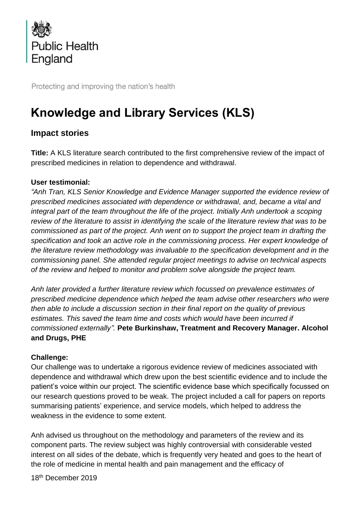

Protecting and improving the nation's health

# **Knowledge and Library Services (KLS)**

## **Impact stories**

**Title:** A KLS literature search contributed to the first comprehensive review of the impact of prescribed medicines in relation to dependence and withdrawal.

#### **User testimonial:**

*"Anh Tran, KLS Senior Knowledge and Evidence Manager supported the evidence review of prescribed medicines associated with dependence or withdrawal, and, became a vital and integral part of the team throughout the life of the project. Initially Anh undertook a scoping review of the literature to assist in identifying the scale of the literature review that was to be commissioned as part of the project. Anh went on to support the project team in drafting the specification and took an active role in the commissioning process. Her expert knowledge of the literature review methodology was invaluable to the specification development and in the commissioning panel. She attended regular project meetings to advise on technical aspects of the review and helped to monitor and problem solve alongside the project team.*

*Anh later provided a further literature review which focussed on prevalence estimates of prescribed medicine dependence which helped the team advise other researchers who were then able to include a discussion section in their final report on the quality of previous estimates. This saved the team time and costs which would have been incurred if commissioned externally".* **Pete Burkinshaw, Treatment and Recovery Manager. Alcohol and Drugs, PHE**

#### **Challenge:**

Our challenge was to undertake a rigorous evidence review of medicines associated with dependence and withdrawal which drew upon the best scientific evidence and to include the patient's voice within our project. The scientific evidence base which specifically focussed on our research questions proved to be weak. The project included a call for papers on reports summarising patients' experience, and service models, which helped to address the weakness in the evidence to some extent.

Anh advised us throughout on the methodology and parameters of the review and its component parts. The review subject was highly controversial with considerable vested interest on all sides of the debate, which is frequently very heated and goes to the heart of the role of medicine in mental health and pain management and the efficacy of

18<sup>th</sup> December 2019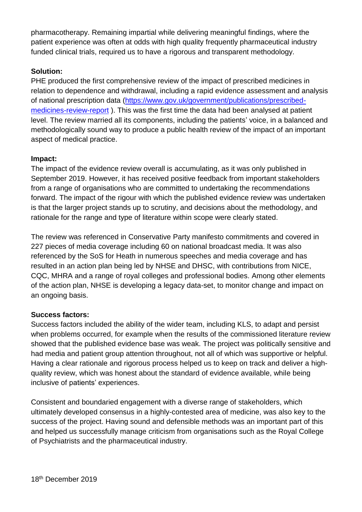pharmacotherapy. Remaining impartial while delivering meaningful findings, where the patient experience was often at odds with high quality frequently pharmaceutical industry funded clinical trials, required us to have a rigorous and transparent methodology.

### **Solution:**

PHE produced the first comprehensive review of the impact of prescribed medicines in relation to dependence and withdrawal, including a rapid evidence assessment and analysis of national prescription data [\(https://www.gov.uk/government/publications/prescribed](https://www.gov.uk/government/publications/prescribed-medicines-review-report)[medicines-review-report](https://www.gov.uk/government/publications/prescribed-medicines-review-report) ). This was the first time the data had been analysed at patient level. The review married all its components, including the patients' voice, in a balanced and methodologically sound way to produce a public health review of the impact of an important aspect of medical practice.

#### **Impact:**

The impact of the evidence review overall is accumulating, as it was only published in September 2019. However, it has received positive feedback from important stakeholders from a range of organisations who are committed to undertaking the recommendations forward. The impact of the rigour with which the published evidence review was undertaken is that the larger project stands up to scrutiny, and decisions about the methodology, and rationale for the range and type of literature within scope were clearly stated.

The review was referenced in Conservative Party manifesto commitments and covered in 227 pieces of media coverage including 60 on national broadcast media. It was also referenced by the SoS for Heath in numerous speeches and media coverage and has resulted in an action plan being led by NHSE and DHSC, with contributions from NICE, CQC, MHRA and a range of royal colleges and professional bodies. Among other elements of the action plan, NHSE is developing a legacy data-set, to monitor change and impact on an ongoing basis.

#### **Success factors:**

Success factors included the ability of the wider team, including KLS, to adapt and persist when problems occurred, for example when the results of the commissioned literature review showed that the published evidence base was weak. The project was politically sensitive and had media and patient group attention throughout, not all of which was supportive or helpful. Having a clear rationale and rigorous process helped us to keep on track and deliver a highquality review, which was honest about the standard of evidence available, while being inclusive of patients' experiences.

Consistent and boundaried engagement with a diverse range of stakeholders, which ultimately developed consensus in a highly-contested area of medicine, was also key to the success of the project. Having sound and defensible methods was an important part of this and helped us successfully manage criticism from organisations such as the Royal College of Psychiatrists and the pharmaceutical industry.